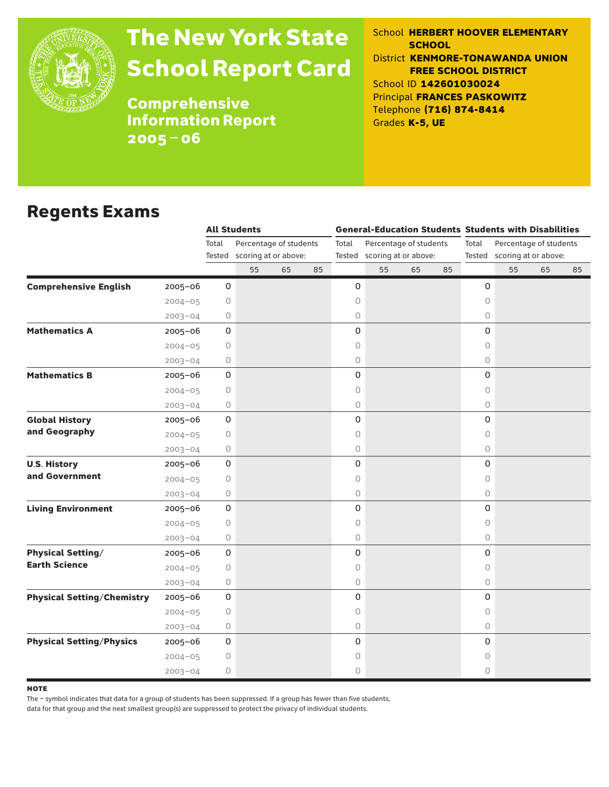

# The New York State School Report Card

School **HERBERT HOOVER ELEMENTARY SCHOOL** District **KENMORE-TONAWANDA UNION FREE SCHOOL DISTRICT** School ID **142601030024** Principal **FRANCES PASKOWITZ** Telephone **(716) 874-8414** Grades **K-5, UE**

**Comprehensive** Information Report 2005–06

### Regents Exams

|                                   |             |             | <b>All Students</b>         |    |    |       |                             |    |    |                                                                | <b>General-Education Students Students with Disabilities</b> |    |    |  |  |
|-----------------------------------|-------------|-------------|-----------------------------|----|----|-------|-----------------------------|----|----|----------------------------------------------------------------|--------------------------------------------------------------|----|----|--|--|
|                                   |             | Total       | Percentage of students      |    |    | Total | Percentage of students      |    |    | Total<br>Percentage of students<br>Tested scoring at or above: |                                                              |    |    |  |  |
|                                   |             |             | Tested scoring at or above: |    |    |       | Tested scoring at or above: |    |    |                                                                |                                                              |    |    |  |  |
|                                   |             |             | 55                          | 65 | 85 |       | 55                          | 65 | 85 |                                                                | 55                                                           | 65 | 85 |  |  |
| <b>Comprehensive English</b>      | $2005 - 06$ | 0           |                             |    |    | 0     |                             |    |    | 0                                                              |                                                              |    |    |  |  |
|                                   | $2004 - 05$ | 0           |                             |    |    | 0     |                             |    |    | 0                                                              |                                                              |    |    |  |  |
|                                   | $2003 - 04$ | 0           |                             |    |    | 0     |                             |    |    | 0                                                              |                                                              |    |    |  |  |
| <b>Mathematics A</b>              | 2005-06     | 0           |                             |    |    | 0     |                             |    |    | 0                                                              |                                                              |    |    |  |  |
|                                   | $2004 - 05$ | $\circ$     |                             |    |    | 0     |                             |    |    | 0                                                              |                                                              |    |    |  |  |
|                                   | $2003 - 04$ | 0           |                             |    |    | 0     |                             |    |    | $\circ$                                                        |                                                              |    |    |  |  |
| <b>Mathematics B</b>              | $2005 - 06$ | 0           |                             |    |    | 0     |                             |    |    | 0                                                              |                                                              |    |    |  |  |
|                                   | $2004 - 05$ | 0           |                             |    |    | 0     |                             |    |    | 0                                                              |                                                              |    |    |  |  |
|                                   | $2003 - 04$ | 0           |                             |    |    | 0     |                             |    |    | $\circ$                                                        |                                                              |    |    |  |  |
| <b>Global History</b>             | 2005-06     | 0           |                             |    |    | 0     |                             |    |    | 0                                                              |                                                              |    |    |  |  |
| and Geography                     | $2004 - 05$ | 0           |                             |    |    | 0     |                             |    |    | 0                                                              |                                                              |    |    |  |  |
|                                   | $2003 - 04$ | 0           |                             |    |    | 0     |                             |    |    | 0                                                              |                                                              |    |    |  |  |
| <b>U.S. History</b>               | 2005-06     | 0           |                             |    |    | 0     |                             |    |    | 0                                                              |                                                              |    |    |  |  |
| and Government                    | $2004 - 05$ | 0           |                             |    |    | 0     |                             |    |    | 0                                                              |                                                              |    |    |  |  |
|                                   | $2003 - 04$ | 0           |                             |    |    | 0     |                             |    |    | $\circ$                                                        |                                                              |    |    |  |  |
| <b>Living Environment</b>         | $2005 - 06$ | 0           |                             |    |    | 0     |                             |    |    | 0                                                              |                                                              |    |    |  |  |
|                                   | $2004 - 05$ | 0           |                             |    |    | 0     |                             |    |    | 0                                                              |                                                              |    |    |  |  |
|                                   | $2003 - 04$ | 0           |                             |    |    | 0     |                             |    |    | $\circ$                                                        |                                                              |    |    |  |  |
| <b>Physical Setting/</b>          | 2005-06     | 0           |                             |    |    | 0     |                             |    |    | 0                                                              |                                                              |    |    |  |  |
| <b>Earth Science</b>              | $2004 - 05$ | 0           |                             |    |    | 0     |                             |    |    | 0                                                              |                                                              |    |    |  |  |
|                                   | $2003 - 04$ | 0           |                             |    |    | 0     |                             |    |    | $\circ$                                                        |                                                              |    |    |  |  |
| <b>Physical Setting/Chemistry</b> | 2005-06     | 0           |                             |    |    | 0     |                             |    |    | $\mathsf O$                                                    |                                                              |    |    |  |  |
|                                   | $2004 - 05$ | 0           |                             |    |    | 0     |                             |    |    | 0                                                              |                                                              |    |    |  |  |
|                                   | $2003 - 04$ | 0           |                             |    |    | 0     |                             |    |    | $\circ$                                                        |                                                              |    |    |  |  |
| <b>Physical Setting/Physics</b>   | $2005 - 06$ | $\mathbf 0$ |                             |    |    | 0     |                             |    |    | 0                                                              |                                                              |    |    |  |  |
|                                   | $2004 - 05$ | 0           |                             |    |    | 0     |                             |    |    | 0                                                              |                                                              |    |    |  |  |
|                                   | $2003 - 04$ | 0           |                             |    |    | 0     |                             |    |    | 0                                                              |                                                              |    |    |  |  |

**NOTE** 

The – symbol indicates that data for a group of students has been suppressed. If a group has fewer than five students,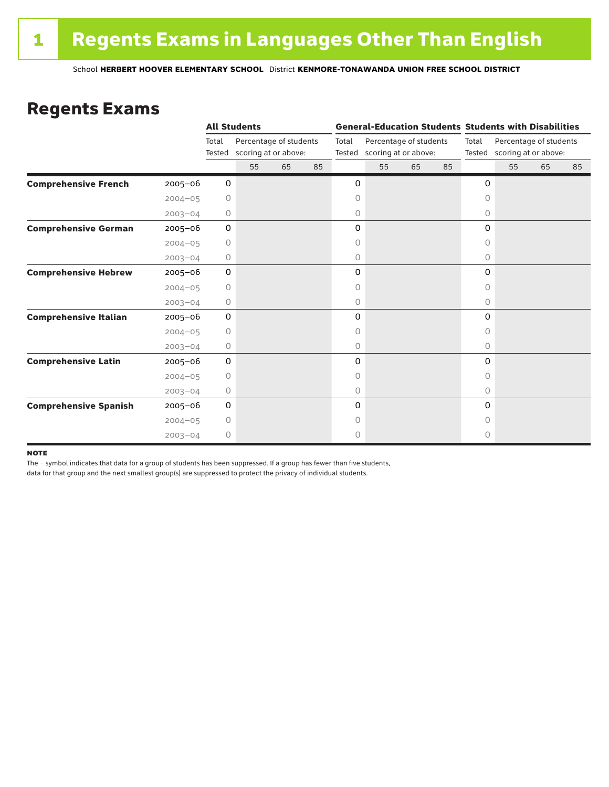### Regents Exams

|                              |             |                 | <b>All Students</b>                            |    |    |                                                                   |    |    |       |                                                       | <b>General-Education Students Students with Disabilities</b> |    |    |  |
|------------------------------|-------------|-----------------|------------------------------------------------|----|----|-------------------------------------------------------------------|----|----|-------|-------------------------------------------------------|--------------------------------------------------------------|----|----|--|
|                              |             | Total<br>Tested | Percentage of students<br>scoring at or above: |    |    | Total<br>Percentage of students<br>scoring at or above:<br>Tested |    |    | Total | Percentage of students<br>Tested scoring at or above: |                                                              |    |    |  |
|                              |             |                 | 55                                             | 65 | 85 |                                                                   | 55 | 65 | 85    |                                                       | 55                                                           | 65 | 85 |  |
| <b>Comprehensive French</b>  | $2005 - 06$ | 0               |                                                |    |    | 0                                                                 |    |    |       | 0                                                     |                                                              |    |    |  |
|                              | $2004 - 05$ | $\circ$         |                                                |    |    | 0                                                                 |    |    |       | $\circ$                                               |                                                              |    |    |  |
|                              | $2003 - 04$ | 0               |                                                |    |    | 0                                                                 |    |    |       | 0                                                     |                                                              |    |    |  |
| <b>Comprehensive German</b>  | $2005 - 06$ | 0               |                                                |    |    | 0                                                                 |    |    |       | 0                                                     |                                                              |    |    |  |
|                              | $2004 - 05$ | 0               |                                                |    |    | 0                                                                 |    |    |       | $\circ$                                               |                                                              |    |    |  |
|                              | $2003 - 04$ | 0               |                                                |    |    | 0                                                                 |    |    |       | 0                                                     |                                                              |    |    |  |
| <b>Comprehensive Hebrew</b>  | $2005 - 06$ | 0               |                                                |    |    | 0                                                                 |    |    |       | 0                                                     |                                                              |    |    |  |
|                              | $2004 - 05$ | 0               |                                                |    |    | 0                                                                 |    |    |       | 0                                                     |                                                              |    |    |  |
|                              | $2003 - 04$ | 0               |                                                |    |    | 0                                                                 |    |    |       | $\circ$                                               |                                                              |    |    |  |
| <b>Comprehensive Italian</b> | $2005 - 06$ | 0               |                                                |    |    | 0                                                                 |    |    |       | 0                                                     |                                                              |    |    |  |
|                              | $2004 - 05$ | 0               |                                                |    |    | 0                                                                 |    |    |       | 0                                                     |                                                              |    |    |  |
|                              | $2003 - 04$ | 0               |                                                |    |    | 0                                                                 |    |    |       | 0                                                     |                                                              |    |    |  |
| <b>Comprehensive Latin</b>   | $2005 - 06$ | 0               |                                                |    |    | 0                                                                 |    |    |       | 0                                                     |                                                              |    |    |  |
|                              | $2004 - 05$ | $\circ$         |                                                |    |    | 0                                                                 |    |    |       | $\circ$                                               |                                                              |    |    |  |
|                              | $2003 - 04$ | 0               |                                                |    |    | 0                                                                 |    |    |       | $\circ$                                               |                                                              |    |    |  |
| <b>Comprehensive Spanish</b> | $2005 - 06$ | 0               |                                                |    |    | 0                                                                 |    |    |       | 0                                                     |                                                              |    |    |  |
|                              | $2004 - 05$ | 0               |                                                |    |    | 0                                                                 |    |    |       | Ω                                                     |                                                              |    |    |  |
|                              | $2003 - 04$ | $\circ$         |                                                |    |    | 0                                                                 |    |    |       | 0                                                     |                                                              |    |    |  |

#### **NOTE**

The – symbol indicates that data for a group of students has been suppressed. If a group has fewer than five students,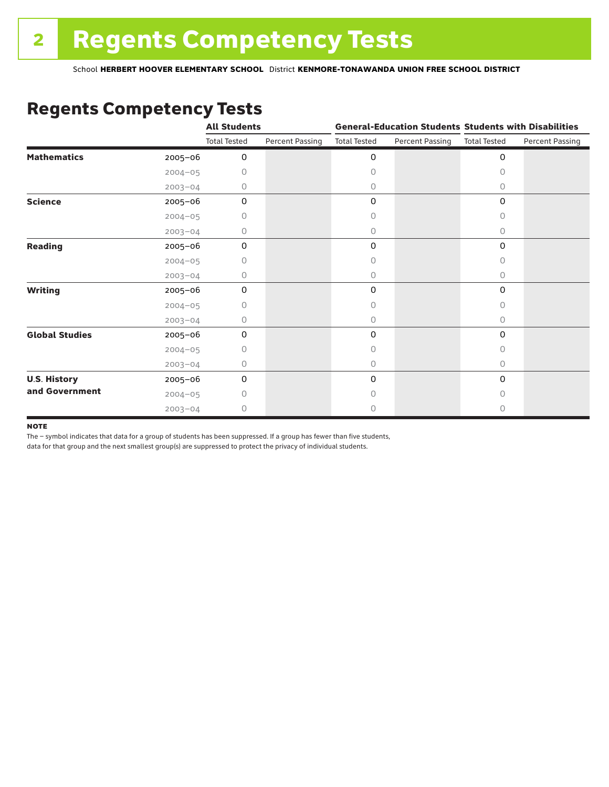# Regents Competency Tests

|                       |             | <b>All Students</b> |                        |                     |                        | <b>General-Education Students Students with Disabilities</b> |                        |  |
|-----------------------|-------------|---------------------|------------------------|---------------------|------------------------|--------------------------------------------------------------|------------------------|--|
|                       |             | <b>Total Tested</b> | <b>Percent Passing</b> | <b>Total Tested</b> | <b>Percent Passing</b> | <b>Total Tested</b>                                          | <b>Percent Passing</b> |  |
| <b>Mathematics</b>    | 2005-06     | 0                   |                        | 0                   |                        | $\mathbf 0$                                                  |                        |  |
|                       | $2004 - 05$ | 0                   |                        | 0                   |                        | $\Omega$                                                     |                        |  |
|                       | $2003 - 04$ | 0                   |                        | 0                   |                        | 0                                                            |                        |  |
| <b>Science</b>        | 2005-06     | 0                   |                        | 0                   |                        | $\mathbf 0$                                                  |                        |  |
|                       | $2004 - 05$ | 0                   |                        | 0                   |                        | 0                                                            |                        |  |
|                       | $2003 - 04$ | 0                   |                        | 0                   |                        | 0                                                            |                        |  |
| <b>Reading</b>        | 2005-06     | 0                   |                        | 0                   |                        | $\mathbf 0$                                                  |                        |  |
|                       | $2004 - 05$ | 0                   |                        | 0                   |                        | 0                                                            |                        |  |
|                       | $2003 - 04$ | 0                   |                        | 0                   |                        | 0                                                            |                        |  |
| <b>Writing</b>        | 2005-06     | 0                   |                        | 0                   |                        | $\mathbf 0$                                                  |                        |  |
|                       | $2004 - 05$ | 0                   |                        | 0                   |                        | $\Omega$                                                     |                        |  |
|                       | $2003 - 04$ | 0                   |                        | 0                   |                        | 0                                                            |                        |  |
| <b>Global Studies</b> | 2005-06     | 0                   |                        | 0                   |                        | $\mathbf 0$                                                  |                        |  |
|                       | $2004 - 05$ | 0                   |                        | 0                   |                        | 0                                                            |                        |  |
|                       | $2003 - 04$ | 0                   |                        | 0                   |                        | 0                                                            |                        |  |
| <b>U.S. History</b>   | 2005-06     | $\mathbf 0$         |                        | 0                   |                        | 0                                                            |                        |  |
| and Government        | $2004 - 05$ | 0                   |                        | 0                   |                        | 0                                                            |                        |  |
|                       | $2003 - 04$ | 0                   |                        | 0                   |                        | 0                                                            |                        |  |

#### **NOTE**

The – symbol indicates that data for a group of students has been suppressed. If a group has fewer than five students,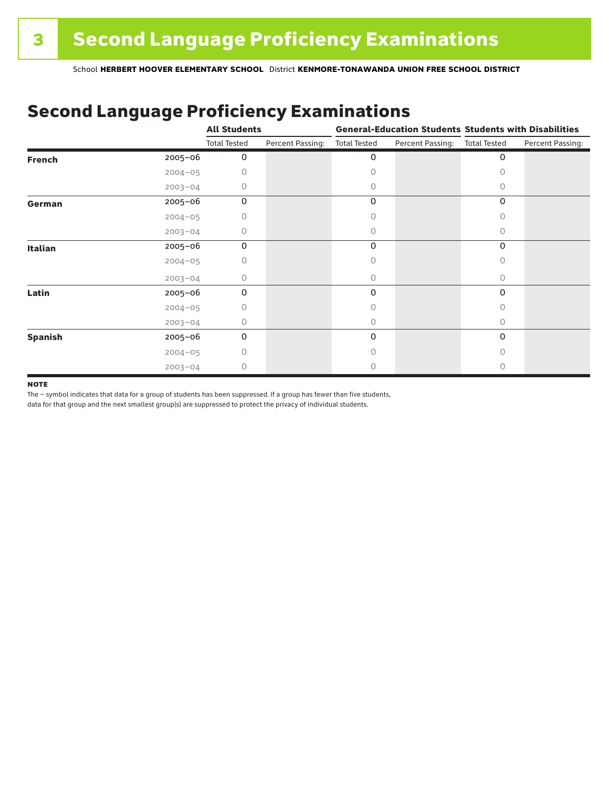### Second Language Proficiency Examinations

|                |             | <b>All Students</b> |                  |                     |                  | <b>General-Education Students Students with Disabilities</b> |                  |  |
|----------------|-------------|---------------------|------------------|---------------------|------------------|--------------------------------------------------------------|------------------|--|
|                |             | <b>Total Tested</b> | Percent Passing: | <b>Total Tested</b> | Percent Passing: | <b>Total Tested</b>                                          | Percent Passing: |  |
| <b>French</b>  | 2005-06     | 0                   |                  | 0                   |                  | 0                                                            |                  |  |
|                | $2004 - 05$ |                     |                  | Π                   |                  | Ω                                                            |                  |  |
|                | $2003 - 04$ | Ω                   |                  | 0                   |                  | 0                                                            |                  |  |
| German         | 2005-06     | 0                   |                  | 0                   |                  | 0                                                            |                  |  |
|                | $2004 - 05$ |                     |                  |                     |                  | 0                                                            |                  |  |
|                | $2003 - 04$ | 0                   |                  | 0                   |                  | 0                                                            |                  |  |
| <b>Italian</b> | 2005-06     | 0                   |                  | 0                   |                  | 0                                                            |                  |  |
|                | $2004 - 05$ | n                   |                  | Ω                   |                  | O                                                            |                  |  |
|                | $2003 - 04$ | 0                   |                  | 0                   |                  | $\Omega$                                                     |                  |  |
| Latin          | 2005-06     | 0                   |                  | 0                   |                  | $\Omega$                                                     |                  |  |
|                | $2004 - 05$ |                     |                  |                     |                  | U                                                            |                  |  |
|                | $2003 - 04$ | Ω                   |                  | 0                   |                  | 0                                                            |                  |  |
| <b>Spanish</b> | 2005-06     | 0                   |                  | 0                   |                  | 0                                                            |                  |  |
|                | $2004 - 05$ | Ω                   |                  |                     |                  | 0                                                            |                  |  |
|                | $2003 - 04$ | 0                   |                  |                     |                  | O                                                            |                  |  |

#### **NOTE**

The – symbol indicates that data for a group of students has been suppressed. If a group has fewer than five students,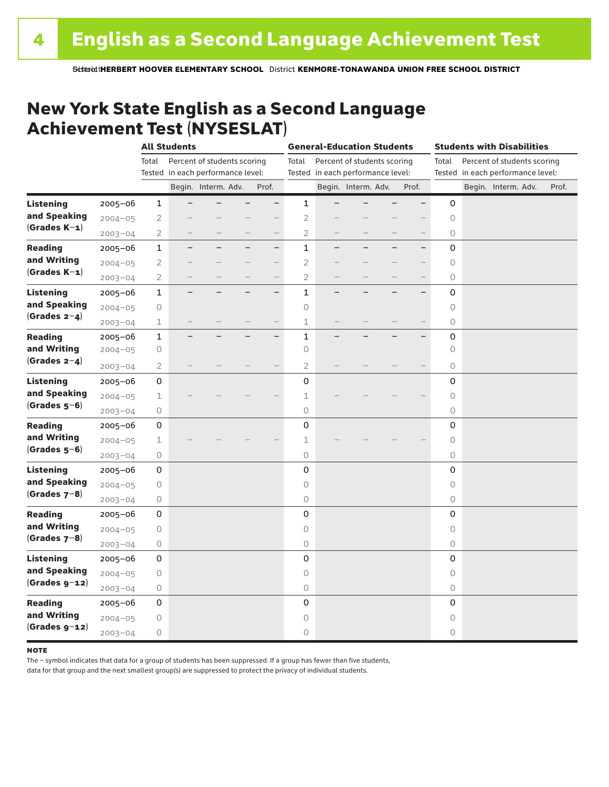### New York State English as a Second Language Achievement Test (NYSESLAT)

|                  |             | <b>All Students</b> |                                   |                             | <b>General-Education Students</b> |                |                                   |                             | <b>Students with Disabilities</b> |                          |                     |  |                                   |       |
|------------------|-------------|---------------------|-----------------------------------|-----------------------------|-----------------------------------|----------------|-----------------------------------|-----------------------------|-----------------------------------|--------------------------|---------------------|--|-----------------------------------|-------|
|                  |             | Total               |                                   | Percent of students scoring |                                   | Total          |                                   | Percent of students scoring |                                   |                          | Total               |  | Percent of students scoring       |       |
|                  |             |                     | Tested in each performance level: |                             |                                   |                | Tested in each performance level: |                             |                                   |                          |                     |  | Tested in each performance level: |       |
|                  |             |                     |                                   | Begin. Interm. Adv.         | Prof.                             |                |                                   | Begin. Interm. Adv.         |                                   | Prof.                    |                     |  | Begin. Interm. Adv.               | Prof. |
| <b>Listening</b> | 2005-06     | $\mathbf{1}$        |                                   |                             | $-$                               | $\mathbf{1}$   |                                   |                             |                                   |                          | 0                   |  |                                   |       |
| and Speaking     | $2004 - 05$ | $\overline{2}$      |                                   |                             |                                   | $\overline{2}$ |                                   |                             |                                   |                          | $\circ$             |  |                                   |       |
| $(Grades K-1)$   | $2003 - 04$ | $\overline{2}$      |                                   |                             | $\overline{\phantom{0}}$          | $\overline{2}$ |                                   |                             |                                   |                          | 0                   |  |                                   |       |
| <b>Reading</b>   | 2005-06     | $\mathbf{1}$        |                                   |                             | $\overline{\phantom{0}}$          | $\mathbf{1}$   |                                   |                             |                                   | $\overline{\phantom{0}}$ | 0                   |  |                                   |       |
| and Writing      | $2004 - 05$ | $\overline{2}$      |                                   |                             |                                   | $\overline{2}$ |                                   |                             |                                   | $\overline{\phantom{0}}$ | $\circlearrowright$ |  |                                   |       |
| $(Grades K-1)$   | $2003 - 04$ | $\overline{2}$      |                                   |                             | $\qquad \qquad -$                 | $\overline{2}$ |                                   |                             |                                   |                          | 0                   |  |                                   |       |
| <b>Listening</b> | 2005-06     | $\mathbf 1$         |                                   |                             | $\qquad \qquad -$                 | $\mathbf{1}$   |                                   |                             |                                   |                          | 0                   |  |                                   |       |
| and Speaking     | $2004 - 05$ | $\bigcirc$          |                                   |                             |                                   | $\mathsf O$    |                                   |                             |                                   |                          | 0                   |  |                                   |       |
| $(Grades 2-4)$   | $2003 - 04$ | $\perp$             |                                   |                             |                                   | $\mathbf 1$    |                                   |                             |                                   |                          | $\circ$             |  |                                   |       |
| <b>Reading</b>   | $2005 - 06$ | $\mathbf 1$         |                                   |                             | $\overline{\phantom{0}}$          | $\mathbf{1}$   |                                   |                             |                                   |                          | 0                   |  |                                   |       |
| and Writing      | $2004 - 05$ | 0                   |                                   |                             |                                   | $\circ$        |                                   |                             |                                   |                          | $\circ$             |  |                                   |       |
| $(Grades 2-4)$   | $2003 - 04$ | 2                   |                                   |                             |                                   | $\overline{2}$ |                                   |                             |                                   |                          | 0                   |  |                                   |       |
| <b>Listening</b> | 2005-06     | 0                   |                                   |                             |                                   | 0              |                                   |                             |                                   |                          | 0                   |  |                                   |       |
| and Speaking     | $2004 - 05$ | $\mathbf 1$         |                                   |                             |                                   | 1              |                                   |                             |                                   |                          | 0                   |  |                                   |       |
| $(Grades 5-6)$   | $2003 - 04$ | $\bigcirc$          |                                   |                             |                                   | 0              |                                   |                             |                                   |                          | 0                   |  |                                   |       |
| <b>Reading</b>   | $2005 - 06$ | 0                   |                                   |                             |                                   | 0              |                                   |                             |                                   |                          | 0                   |  |                                   |       |
| and Writing      | $2004 - 05$ | 1                   |                                   |                             |                                   | $\mathbf 1$    |                                   |                             |                                   |                          | 0                   |  |                                   |       |
| $(Grades 5-6)$   | $2003 - 04$ | $\bigcirc$          |                                   |                             |                                   | $\bigcirc$     |                                   |                             |                                   |                          | 0                   |  |                                   |       |
| <b>Listening</b> | 2005-06     | 0                   |                                   |                             |                                   | 0              |                                   |                             |                                   |                          | 0                   |  |                                   |       |
| and Speaking     | $2004 - 05$ | 0                   |                                   |                             |                                   | $\mathsf O$    |                                   |                             |                                   |                          | $\circ$             |  |                                   |       |
| $(Grades 7-8)$   | $2003 - 04$ | 0                   |                                   |                             |                                   | 0              |                                   |                             |                                   |                          | 0                   |  |                                   |       |
| <b>Reading</b>   | $2005 - 06$ | 0                   |                                   |                             |                                   | 0              |                                   |                             |                                   |                          | 0                   |  |                                   |       |
| and Writing      | $2004 - 05$ | 0                   |                                   |                             |                                   | $\bigcirc$     |                                   |                             |                                   |                          | $\bigcirc$          |  |                                   |       |
| $(Grades 7-8)$   | $2003 - 04$ | 0                   |                                   |                             |                                   | 0              |                                   |                             |                                   |                          | 0                   |  |                                   |       |
| <b>Listening</b> | $2005 - 06$ | 0                   |                                   |                             |                                   | 0              |                                   |                             |                                   |                          | 0                   |  |                                   |       |
| and Speaking     | $2004 - 05$ | 0                   |                                   |                             |                                   | $\circ$        |                                   |                             |                                   |                          | 0                   |  |                                   |       |
| $(Grades g-12)$  | $2003 - 04$ | 0                   |                                   |                             |                                   | $\bigcirc$     |                                   |                             |                                   |                          | 0                   |  |                                   |       |
| <b>Reading</b>   | 2005-06     | 0                   |                                   |                             |                                   | 0              |                                   |                             |                                   |                          | 0                   |  |                                   |       |
| and Writing      | $2004 - 05$ | $\bigcirc$          |                                   |                             |                                   | $\mathsf O$    |                                   |                             |                                   |                          | $\circ$             |  |                                   |       |
| $(Gradesg-12)$   | $2003 - 04$ | 0                   |                                   |                             |                                   | 0              |                                   |                             |                                   |                          | 0                   |  |                                   |       |

#### **NOTE**

The – symbol indicates that data for a group of students has been suppressed. If a group has fewer than five students,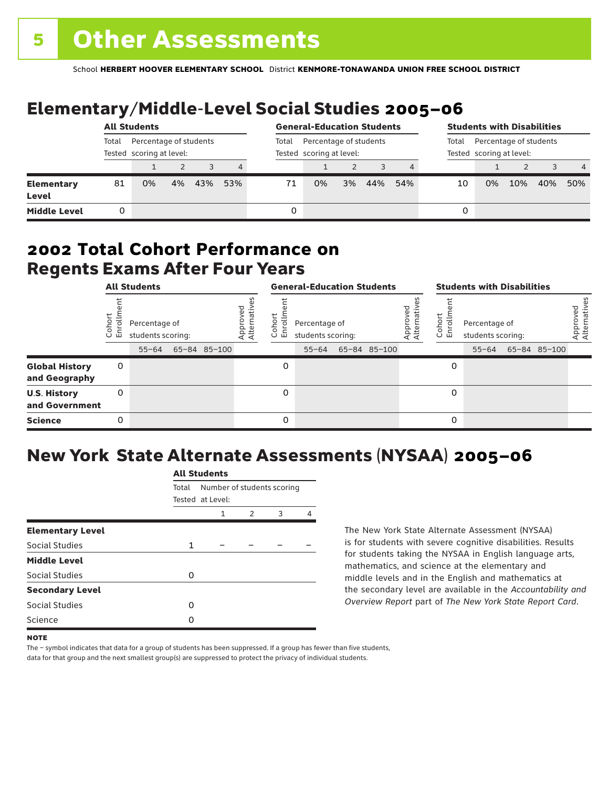# Elementary/Middle-Level Social Studies 2005–06

|                                   | <b>All Students</b> |                                                    |    |     | <b>General-Education Students</b> |       |                                                    |    |     | <b>Students with Disabilities</b> |                                                             |    |     |     |     |
|-----------------------------------|---------------------|----------------------------------------------------|----|-----|-----------------------------------|-------|----------------------------------------------------|----|-----|-----------------------------------|-------------------------------------------------------------|----|-----|-----|-----|
|                                   | Total               | Percentage of students<br>Tested scoring at level: |    |     |                                   | Total | Percentage of students<br>Tested scoring at level: |    |     |                                   | Percentage of students<br>Total<br>Tested scoring at level: |    |     |     |     |
|                                   |                     |                                                    |    |     | 4                                 |       |                                                    |    |     |                                   |                                                             |    |     |     | 4   |
| <b>Elementary</b><br><b>Level</b> | 81                  | 0%                                                 | 4% | 43% | 53%                               | 71    | 0%                                                 | 3% | 44% | 54%                               | 10                                                          | 0% | 10% | 40% | 50% |
| <b>Middle Level</b>               | 0                   |                                                    |    |     |                                   |       |                                                    |    |     |                                   | 0                                                           |    |     |     |     |

### Regents Exams After Four Years 2002 **Total Cohort Performance on**

| <b>All Students</b>                    |                |                                                 |  |              | <b>General-Education Students</b> |                                    |                                                 |  |              | <b>Students with Disabilities</b> |                  |                                                 |  |              |                          |
|----------------------------------------|----------------|-------------------------------------------------|--|--------------|-----------------------------------|------------------------------------|-------------------------------------------------|--|--------------|-----------------------------------|------------------|-------------------------------------------------|--|--------------|--------------------------|
|                                        | oho<br>ō<br>ごこ | Percentage of<br>students scoring:<br>$55 - 64$ |  | 65-84 85-100 | Approved<br>Alternative           | <u>م</u><br>$\circ$<br>屲<br>$\cup$ | Percentage of<br>students scoring:<br>$55 - 64$ |  | 65-84 85-100 | Approved<br>Alternative           | Cohort<br>5<br>훕 | Percentage of<br>students scoring:<br>$55 - 64$ |  | 65-84 85-100 | Approved<br>Alternatives |
| <b>Global History</b><br>and Geography | 0              |                                                 |  |              |                                   | 0                                  |                                                 |  |              |                                   | 0                |                                                 |  |              |                          |
| <b>U.S. History</b><br>and Government  | 0              |                                                 |  |              |                                   | 0                                  |                                                 |  |              |                                   | 0                |                                                 |  |              |                          |
| <b>Science</b>                         | 0              |                                                 |  |              |                                   | $\Omega$                           |                                                 |  |              |                                   | 0                |                                                 |  |              |                          |

# New York State Alternate Assessments (NYSAA) 2005–06

|                         |       | All Students     |                            |   |   |  |  |  |  |  |  |
|-------------------------|-------|------------------|----------------------------|---|---|--|--|--|--|--|--|
|                         | Total |                  | Number of students scoring |   |   |  |  |  |  |  |  |
|                         |       | Tested at Level: |                            |   |   |  |  |  |  |  |  |
|                         |       | 1                | $\mathcal{P}$              | 3 | Δ |  |  |  |  |  |  |
| <b>Elementary Level</b> |       |                  |                            |   |   |  |  |  |  |  |  |
| Social Studies          | 1     |                  |                            |   |   |  |  |  |  |  |  |
| <b>Middle Level</b>     |       |                  |                            |   |   |  |  |  |  |  |  |
| <b>Social Studies</b>   | O     |                  |                            |   |   |  |  |  |  |  |  |
| <b>Secondary Level</b>  |       |                  |                            |   |   |  |  |  |  |  |  |
| Social Studies          | O     |                  |                            |   |   |  |  |  |  |  |  |
| Science                 | n     |                  |                            |   |   |  |  |  |  |  |  |
|                         |       |                  |                            |   |   |  |  |  |  |  |  |

All Canada

The New York State Alternate Assessment (NYSAA) is for students with severe cognitive disabilities. Results for students taking the NYSAA in English language arts, mathematics, and science at the elementary and middle levels and in the English and mathematics at the secondary level are available in the *Accountability and Overview Report* part of *The New York State Report Card*.

The – symbol indicates that data for a group of students has been suppressed. If a group has fewer than five students, data for that group and the next smallest group(s) are suppressed to protect the privacy of individual students.

**NOTE**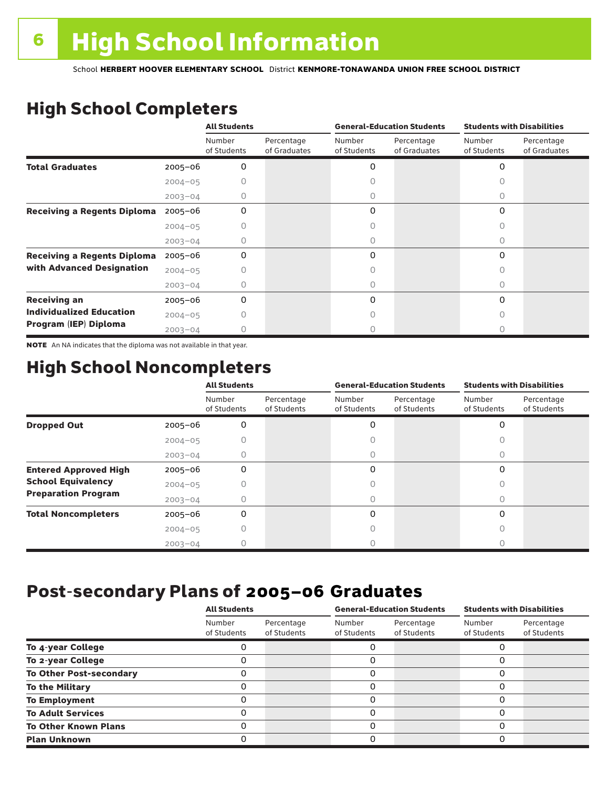# High School Completers

|                                    |             | <b>All Students</b>   |                            |                       | <b>General-Education Students</b> | <b>Students with Disabilities</b> |                            |  |
|------------------------------------|-------------|-----------------------|----------------------------|-----------------------|-----------------------------------|-----------------------------------|----------------------------|--|
|                                    |             | Number<br>of Students | Percentage<br>of Graduates | Number<br>of Students | Percentage<br>of Graduates        | Number<br>of Students             | Percentage<br>of Graduates |  |
| <b>Total Graduates</b>             | $2005 - 06$ | 0                     |                            | 0                     |                                   | 0                                 |                            |  |
|                                    | $2004 - 05$ |                       |                            |                       |                                   |                                   |                            |  |
|                                    | $2003 - 04$ | 0                     |                            | 0                     |                                   | 0                                 |                            |  |
| <b>Receiving a Regents Diploma</b> | $2005 - 06$ | $\Omega$              |                            | 0                     |                                   | $\Omega$                          |                            |  |
|                                    | $2004 - 05$ |                       |                            |                       |                                   | Λ                                 |                            |  |
|                                    | $2003 - 04$ | O                     |                            | 0                     |                                   | 0                                 |                            |  |
| <b>Receiving a Regents Diploma</b> | $2005 - 06$ | 0                     |                            | 0                     |                                   | $\Omega$                          |                            |  |
| with Advanced Designation          | $2004 - 05$ |                       |                            |                       |                                   |                                   |                            |  |
|                                    | $2003 - 04$ |                       |                            |                       |                                   | n                                 |                            |  |
| <b>Receiving an</b>                | $2005 - 06$ | 0                     |                            | 0                     |                                   | $\Omega$                          |                            |  |
| <b>Individualized Education</b>    | $2004 - 05$ |                       |                            |                       |                                   |                                   |                            |  |
| Program (IEP) Diploma              | $2003 - 04$ |                       |                            |                       |                                   |                                   |                            |  |

NOTE An NA indicates that the diploma was not available in that year.

### High School Noncompleters

|                              |             | <b>All Students</b>   |                           |                       | <b>General-Education Students</b> | <b>Students with Disabilities</b> |                           |  |
|------------------------------|-------------|-----------------------|---------------------------|-----------------------|-----------------------------------|-----------------------------------|---------------------------|--|
|                              |             | Number<br>of Students | Percentage<br>of Students | Number<br>of Students | Percentage<br>of Students         | Number<br>of Students             | Percentage<br>of Students |  |
| <b>Dropped Out</b>           | $2005 - 06$ | 0                     |                           | 0                     |                                   | $\Omega$                          |                           |  |
|                              | $2004 - 05$ |                       |                           |                       |                                   |                                   |                           |  |
|                              | $2003 - 04$ |                       |                           |                       |                                   |                                   |                           |  |
| <b>Entered Approved High</b> | $2005 - 06$ | 0                     |                           | 0                     |                                   | $\Omega$                          |                           |  |
| <b>School Equivalency</b>    | $2004 - 05$ |                       |                           | U                     |                                   | Ω                                 |                           |  |
| <b>Preparation Program</b>   | $2003 - 04$ | Ω                     |                           | 0                     |                                   | 0                                 |                           |  |
| <b>Total Noncompleters</b>   | $2005 - 06$ | 0                     |                           | 0                     |                                   | $\Omega$                          |                           |  |
|                              | $2004 - 05$ | Ω                     |                           | Ω                     |                                   | 0                                 |                           |  |
|                              | $2003 - 04$ |                       |                           |                       |                                   |                                   |                           |  |

### Post-secondary Plans of 2005–06 **Graduates**

|                                | <b>All Students</b>   |                           |                       | <b>General-Education Students</b> | <b>Students with Disabilities</b> |                           |  |
|--------------------------------|-----------------------|---------------------------|-----------------------|-----------------------------------|-----------------------------------|---------------------------|--|
|                                | Number<br>of Students | Percentage<br>of Students | Number<br>of Students | Percentage<br>of Students         | Number<br>of Students             | Percentage<br>of Students |  |
| To 4-year College              |                       |                           |                       |                                   |                                   |                           |  |
| To 2-year College              |                       |                           | 0                     |                                   | 0                                 |                           |  |
| <b>To Other Post-secondary</b> |                       |                           | ი                     |                                   | 0                                 |                           |  |
| <b>To the Military</b>         |                       |                           | ი                     |                                   | 0                                 |                           |  |
| <b>To Employment</b>           |                       |                           | 0                     |                                   | 0                                 |                           |  |
| <b>To Adult Services</b>       |                       |                           |                       |                                   | O                                 |                           |  |
| <b>To Other Known Plans</b>    |                       |                           | 0                     |                                   | 0                                 |                           |  |
| <b>Plan Unknown</b>            |                       |                           |                       |                                   | 0                                 |                           |  |